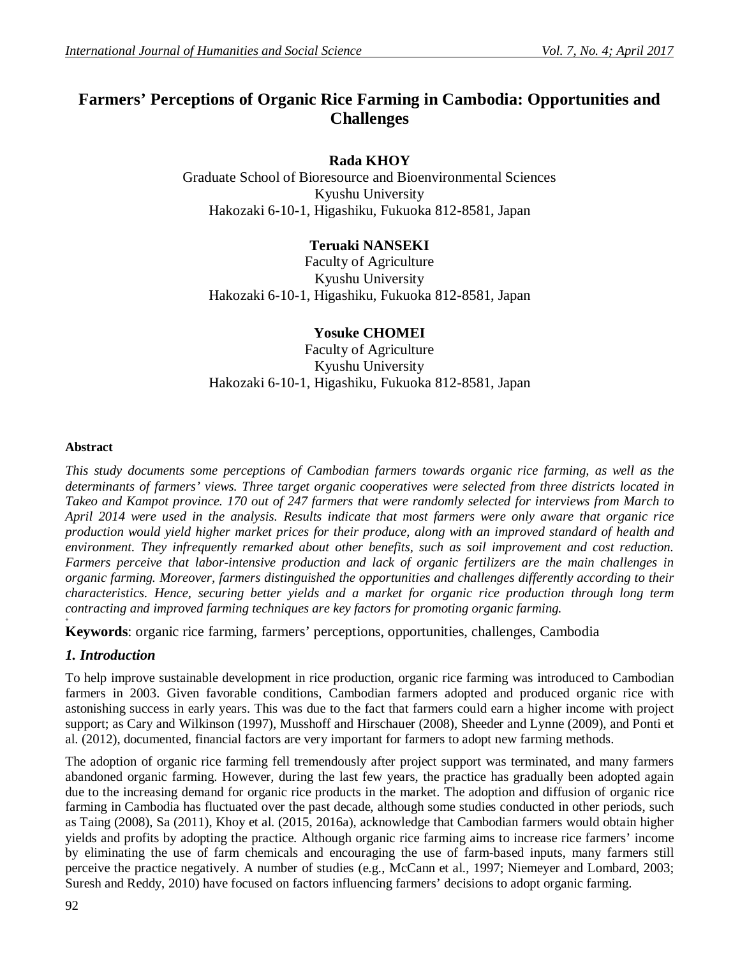# **Farmers' Perceptions of Organic Rice Farming in Cambodia: Opportunities and Challenges**

# **Rada KHOY**

Graduate School of Bioresource and Bioenvironmental Sciences Kyushu University Hakozaki 6-10-1, Higashiku, Fukuoka 812-8581, Japan

# **Teruaki NANSEKI**

Faculty of Agriculture Kyushu University Hakozaki 6-10-1, Higashiku, Fukuoka 812-8581, Japan

**Yosuke CHOMEI** Faculty of Agriculture Kyushu University

Hakozaki 6-10-1, Higashiku, Fukuoka 812-8581, Japan

#### **Abstract**

*This study documents some perceptions of Cambodian farmers towards organic rice farming, as well as the determinants of farmers' views. Three target organic cooperatives were selected from three districts located in Takeo and Kampot province. 170 out of 247 farmers that were randomly selected for interviews from March to April 2014 were used in the analysis. Results indicate that most farmers were only aware that organic rice production would yield higher market prices for their produce, along with an improved standard of health and environment. They infrequently remarked about other benefits, such as soil improvement and cost reduction. Farmers perceive that labor-intensive production and lack of organic fertilizers are the main challenges in organic farming. Moreover, farmers distinguished the opportunities and challenges differently according to their characteristics. Hence, securing better yields and a market for organic rice production through long term contracting and improved farming techniques are key factors for promoting organic farming.*

**Keywords**: organic rice farming, farmers' perceptions, opportunities, challenges, Cambodia

# *1. Introduction*

**+**

To help improve sustainable development in rice production, organic rice farming was introduced to Cambodian farmers in 2003. Given favorable conditions, Cambodian farmers adopted and produced organic rice with astonishing success in early years. This was due to the fact that farmers could earn a higher income with project support; as Cary and Wilkinson (1997), Musshoff and Hirschauer (2008), Sheeder and Lynne (2009), and Ponti et al. (2012), documented, financial factors are very important for farmers to adopt new farming methods.

The adoption of organic rice farming fell tremendously after project support was terminated, and many farmers abandoned organic farming. However, during the last few years, the practice has gradually been adopted again due to the increasing demand for organic rice products in the market. The adoption and diffusion of organic rice farming in Cambodia has fluctuated over the past decade, although some studies conducted in other periods, such as Taing (2008), Sa (2011), Khoy et al. (2015, 2016a), acknowledge that Cambodian farmers would obtain higher yields and profits by adopting the practice. Although organic rice farming aims to increase rice farmers' income by eliminating the use of farm chemicals and encouraging the use of farm-based inputs, many farmers still perceive the practice negatively. A number of studies (e.g., McCann et al., 1997; Niemeyer and Lombard, 2003; Suresh and Reddy, 2010) have focused on factors influencing farmers' decisions to adopt organic farming.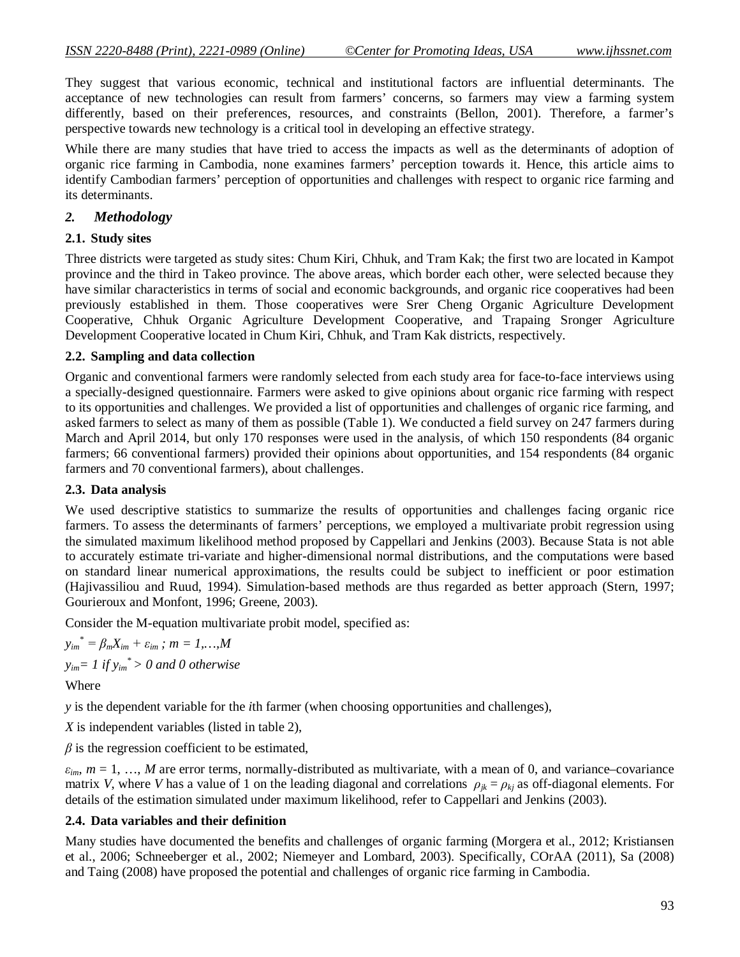They suggest that various economic, technical and institutional factors are influential determinants. The acceptance of new technologies can result from farmers' concerns, so farmers may view a farming system differently, based on their preferences, resources, and constraints (Bellon, 2001). Therefore, a farmer's perspective towards new technology is a critical tool in developing an effective strategy.

While there are many studies that have tried to access the impacts as well as the determinants of adoption of organic rice farming in Cambodia, none examines farmers' perception towards it. Hence, this article aims to identify Cambodian farmers' perception of opportunities and challenges with respect to organic rice farming and its determinants.

#### *2. Methodology*

#### **2.1. Study sites**

Three districts were targeted as study sites: Chum Kiri, Chhuk, and Tram Kak; the first two are located in Kampot province and the third in Takeo province. The above areas, which border each other, were selected because they have similar characteristics in terms of social and economic backgrounds, and organic rice cooperatives had been previously established in them. Those cooperatives were Srer Cheng Organic Agriculture Development Cooperative, Chhuk Organic Agriculture Development Cooperative, and Trapaing Sronger Agriculture Development Cooperative located in Chum Kiri, Chhuk, and Tram Kak districts, respectively.

#### **2.2. Sampling and data collection**

Organic and conventional farmers were randomly selected from each study area for face-to-face interviews using a specially-designed questionnaire. Farmers were asked to give opinions about organic rice farming with respect to its opportunities and challenges. We provided a list of opportunities and challenges of organic rice farming, and asked farmers to select as many of them as possible (Table 1). We conducted a field survey on 247 farmers during March and April 2014, but only 170 responses were used in the analysis, of which 150 respondents (84 organic farmers; 66 conventional farmers) provided their opinions about opportunities, and 154 respondents (84 organic farmers and 70 conventional farmers), about challenges.

#### **2.3. Data analysis**

We used descriptive statistics to summarize the results of opportunities and challenges facing organic rice farmers. To assess the determinants of farmers' perceptions, we employed a multivariate probit regression using the simulated maximum likelihood method proposed by Cappellari and Jenkins (2003). Because Stata is not able to accurately estimate tri-variate and higher-dimensional normal distributions, and the computations were based on standard linear numerical approximations, the results could be subject to inefficient or poor estimation (Hajivassiliou and Ruud, 1994). Simulation-based methods are thus regarded as better approach (Stern, 1997; Gourieroux and Monfont, 1996; Greene, 2003).

Consider the M-equation multivariate probit model, specified as:

 $y_{im}^* = \beta_m X_{im} + \varepsilon_{im}$  ;  $m = 1,...,M$ *yim= 1 if yim \* > 0 and 0 otherwise*

Where

*y* is the dependent variable for the *i*th farmer (when choosing opportunities and challenges),

*X* is independent variables (listed in table 2),

*β* is the regression coefficient to be estimated,

 $\varepsilon_{im}$ ,  $m = 1, \ldots, M$  are error terms, normally-distributed as multivariate, with a mean of 0, and variance–covariance matrix *V*, where *V* has a value of 1 on the leading diagonal and correlations  $\rho_{ik} = \rho_{ki}$  as off-diagonal elements. For details of the estimation simulated under maximum likelihood, refer to Cappellari and Jenkins (2003).

#### **2.4. Data variables and their definition**

Many studies have documented the benefits and challenges of organic farming (Morgera et al., 2012; Kristiansen et al., 2006; Schneeberger et al., 2002; Niemeyer and Lombard, 2003). Specifically, COrAA (2011), Sa (2008) and Taing (2008) have proposed the potential and challenges of organic rice farming in Cambodia.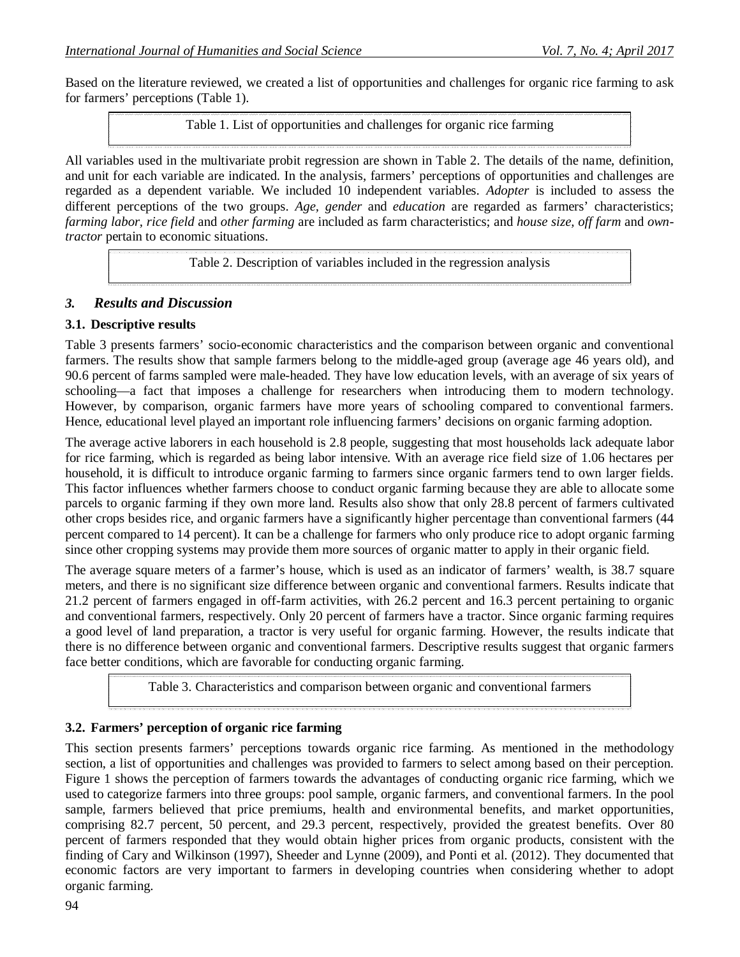Based on the literature reviewed, we created a list of opportunities and challenges for organic rice farming to ask for farmers' perceptions (Table 1).

Table 1. List of opportunities and challenges for organic rice farming

All variables used in the multivariate probit regression are shown in Table 2. The details of the name, definition, and unit for each variable are indicated. In the analysis, farmers' perceptions of opportunities and challenges are regarded as a dependent variable. We included 10 independent variables. *Adopter* is included to assess the different perceptions of the two groups. *Age, gender* and *education* are regarded as farmers' characteristics; *farming labor, rice field* and *other farming* are included as farm characteristics; and *house size, off farm* and *owntractor* pertain to economic situations.

Table 2. Description of variables included in the regression analysis

## *3. Results and Discussion*

#### **3.1. Descriptive results**

Table 3 presents farmers' socio-economic characteristics and the comparison between organic and conventional farmers. The results show that sample farmers belong to the middle-aged group (average age 46 years old), and 90.6 percent of farms sampled were male-headed. They have low education levels, with an average of six years of schooling—a fact that imposes a challenge for researchers when introducing them to modern technology. However, by comparison, organic farmers have more years of schooling compared to conventional farmers. Hence, educational level played an important role influencing farmers' decisions on organic farming adoption.

The average active laborers in each household is 2.8 people, suggesting that most households lack adequate labor for rice farming, which is regarded as being labor intensive. With an average rice field size of 1.06 hectares per household, it is difficult to introduce organic farming to farmers since organic farmers tend to own larger fields. This factor influences whether farmers choose to conduct organic farming because they are able to allocate some parcels to organic farming if they own more land. Results also show that only 28.8 percent of farmers cultivated other crops besides rice, and organic farmers have a significantly higher percentage than conventional farmers (44 percent compared to 14 percent). It can be a challenge for farmers who only produce rice to adopt organic farming since other cropping systems may provide them more sources of organic matter to apply in their organic field.

The average square meters of a farmer's house, which is used as an indicator of farmers' wealth, is 38.7 square meters, and there is no significant size difference between organic and conventional farmers. Results indicate that 21.2 percent of farmers engaged in off-farm activities, with 26.2 percent and 16.3 percent pertaining to organic and conventional farmers, respectively. Only 20 percent of farmers have a tractor. Since organic farming requires a good level of land preparation, a tractor is very useful for organic farming. However, the results indicate that there is no difference between organic and conventional farmers. Descriptive results suggest that organic farmers face better conditions, which are favorable for conducting organic farming.

Table 3. Characteristics and comparison between organic and conventional farmers

## **3.2. Farmers' perception of organic rice farming**

This section presents farmers' perceptions towards organic rice farming. As mentioned in the methodology section, a list of opportunities and challenges was provided to farmers to select among based on their perception. Figure 1 shows the perception of farmers towards the advantages of conducting organic rice farming, which we used to categorize farmers into three groups: pool sample, organic farmers, and conventional farmers. In the pool sample, farmers believed that price premiums, health and environmental benefits, and market opportunities, comprising 82.7 percent, 50 percent, and 29.3 percent, respectively, provided the greatest benefits. Over 80 percent of farmers responded that they would obtain higher prices from organic products, consistent with the finding of Cary and Wilkinson (1997), Sheeder and Lynne (2009), and Ponti et al. (2012). They documented that economic factors are very important to farmers in developing countries when considering whether to adopt organic farming.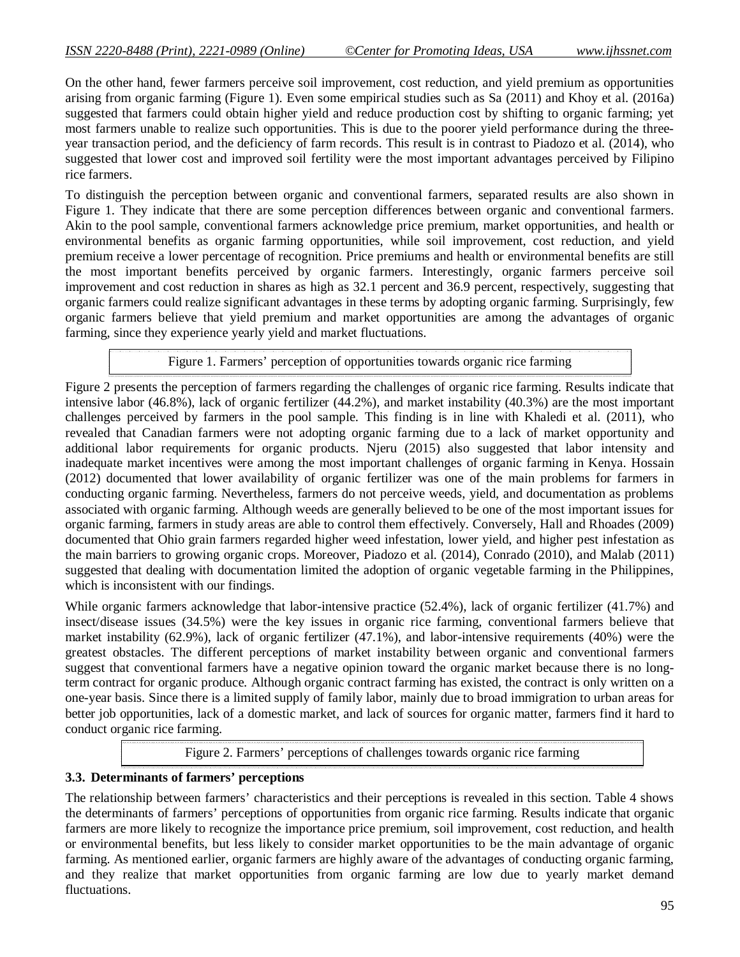On the other hand, fewer farmers perceive soil improvement, cost reduction, and yield premium as opportunities arising from organic farming (Figure 1). Even some empirical studies such as Sa (2011) and Khoy et al. (2016a) suggested that farmers could obtain higher yield and reduce production cost by shifting to organic farming; yet most farmers unable to realize such opportunities. This is due to the poorer yield performance during the threeyear transaction period, and the deficiency of farm records. This result is in contrast to Piadozo et al. (2014), who suggested that lower cost and improved soil fertility were the most important advantages perceived by Filipino rice farmers.

To distinguish the perception between organic and conventional farmers, separated results are also shown in Figure 1. They indicate that there are some perception differences between organic and conventional farmers. Akin to the pool sample, conventional farmers acknowledge price premium, market opportunities, and health or environmental benefits as organic farming opportunities, while soil improvement, cost reduction, and yield premium receive a lower percentage of recognition. Price premiums and health or environmental benefits are still the most important benefits perceived by organic farmers. Interestingly, organic farmers perceive soil improvement and cost reduction in shares as high as 32.1 percent and 36.9 percent, respectively, suggesting that organic farmers could realize significant advantages in these terms by adopting organic farming. Surprisingly, few organic farmers believe that yield premium and market opportunities are among the advantages of organic farming, since they experience yearly yield and market fluctuations.

Figure 1. Farmers' perception of opportunities towards organic rice farming

Figure 2 presents the perception of farmers regarding the challenges of organic rice farming. Results indicate that intensive labor (46.8%), lack of organic fertilizer (44.2%), and market instability (40.3%) are the most important challenges perceived by farmers in the pool sample. This finding is in line with Khaledi et al. (2011), who revealed that Canadian farmers were not adopting organic farming due to a lack of market opportunity and additional labor requirements for organic products. Njeru (2015) also suggested that labor intensity and inadequate market incentives were among the most important challenges of organic farming in Kenya. Hossain (2012) documented that lower availability of organic fertilizer was one of the main problems for farmers in conducting organic farming. Nevertheless, farmers do not perceive weeds, yield, and documentation as problems associated with organic farming. Although weeds are generally believed to be one of the most important issues for organic farming, farmers in study areas are able to control them effectively. Conversely, Hall and Rhoades (2009) documented that Ohio grain farmers regarded higher weed infestation, lower yield, and higher pest infestation as the main barriers to growing organic crops. Moreover, Piadozo et al. (2014), Conrado (2010), and Malab (2011) suggested that dealing with documentation limited the adoption of organic vegetable farming in the Philippines, which is inconsistent with our findings.

While organic farmers acknowledge that labor-intensive practice (52.4%), lack of organic fertilizer (41.7%) and insect/disease issues (34.5%) were the key issues in organic rice farming, conventional farmers believe that market instability (62.9%), lack of organic fertilizer (47.1%), and labor-intensive requirements (40%) were the greatest obstacles. The different perceptions of market instability between organic and conventional farmers suggest that conventional farmers have a negative opinion toward the organic market because there is no longterm contract for organic produce. Although organic contract farming has existed, the contract is only written on a one-year basis. Since there is a limited supply of family labor, mainly due to broad immigration to urban areas for better job opportunities, lack of a domestic market, and lack of sources for organic matter, farmers find it hard to conduct organic rice farming.

Figure 2. Farmers' perceptions of challenges towards organic rice farming

## **3.3. Determinants of farmers' perceptions**

The relationship between farmers' characteristics and their perceptions is revealed in this section. Table 4 shows the determinants of farmers' perceptions of opportunities from organic rice farming. Results indicate that organic farmers are more likely to recognize the importance price premium, soil improvement, cost reduction, and health or environmental benefits, but less likely to consider market opportunities to be the main advantage of organic farming. As mentioned earlier, organic farmers are highly aware of the advantages of conducting organic farming, and they realize that market opportunities from organic farming are low due to yearly market demand fluctuations.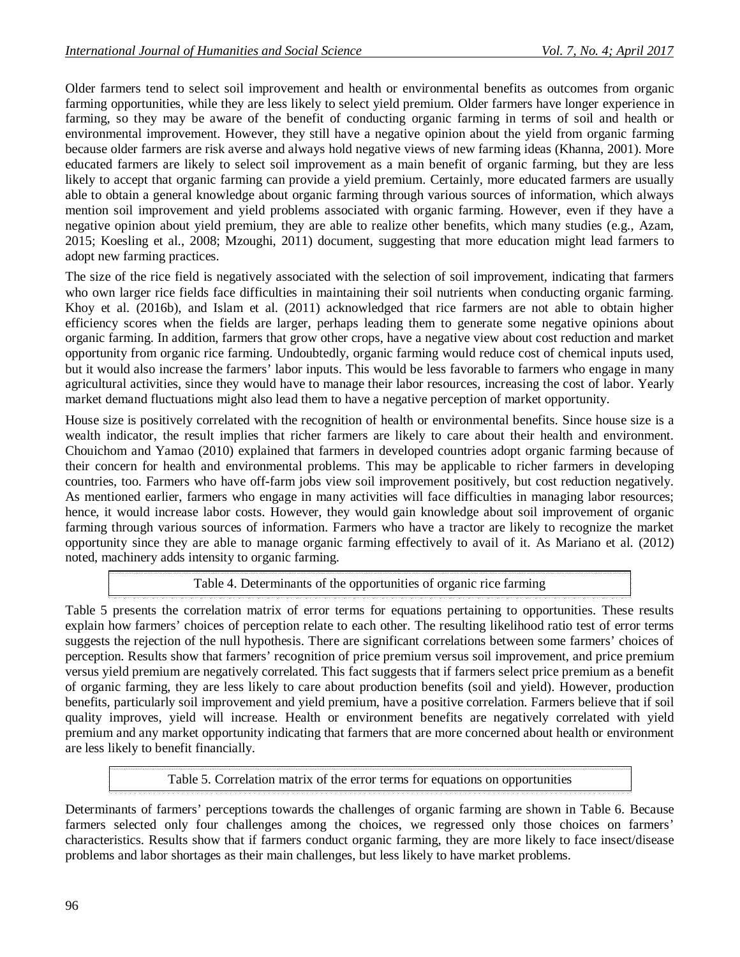Older farmers tend to select soil improvement and health or environmental benefits as outcomes from organic farming opportunities, while they are less likely to select yield premium. Older farmers have longer experience in farming, so they may be aware of the benefit of conducting organic farming in terms of soil and health or environmental improvement. However, they still have a negative opinion about the yield from organic farming because older farmers are risk averse and always hold negative views of new farming ideas (Khanna, 2001). More educated farmers are likely to select soil improvement as a main benefit of organic farming, but they are less likely to accept that organic farming can provide a yield premium. Certainly, more educated farmers are usually able to obtain a general knowledge about organic farming through various sources of information, which always mention soil improvement and yield problems associated with organic farming. However, even if they have a negative opinion about yield premium, they are able to realize other benefits, which many studies (e.g., Azam, 2015; Koesling et al., 2008; Mzoughi, 2011) document, suggesting that more education might lead farmers to adopt new farming practices.

The size of the rice field is negatively associated with the selection of soil improvement, indicating that farmers who own larger rice fields face difficulties in maintaining their soil nutrients when conducting organic farming. Khoy et al. (2016b), and Islam et al. (2011) acknowledged that rice farmers are not able to obtain higher efficiency scores when the fields are larger, perhaps leading them to generate some negative opinions about organic farming. In addition, farmers that grow other crops, have a negative view about cost reduction and market opportunity from organic rice farming. Undoubtedly, organic farming would reduce cost of chemical inputs used, but it would also increase the farmers' labor inputs. This would be less favorable to farmers who engage in many agricultural activities, since they would have to manage their labor resources, increasing the cost of labor. Yearly market demand fluctuations might also lead them to have a negative perception of market opportunity.

House size is positively correlated with the recognition of health or environmental benefits. Since house size is a wealth indicator, the result implies that richer farmers are likely to care about their health and environment. Chouichom and Yamao (2010) explained that farmers in developed countries adopt organic farming because of their concern for health and environmental problems. This may be applicable to richer farmers in developing countries, too. Farmers who have off-farm jobs view soil improvement positively, but cost reduction negatively. As mentioned earlier, farmers who engage in many activities will face difficulties in managing labor resources; hence, it would increase labor costs. However, they would gain knowledge about soil improvement of organic farming through various sources of information. Farmers who have a tractor are likely to recognize the market opportunity since they are able to manage organic farming effectively to avail of it. As Mariano et al. (2012) noted, machinery adds intensity to organic farming.

Table 4. Determinants of the opportunities of organic rice farming

Table 5 presents the correlation matrix of error terms for equations pertaining to opportunities. These results explain how farmers' choices of perception relate to each other. The resulting likelihood ratio test of error terms suggests the rejection of the null hypothesis. There are significant correlations between some farmers' choices of perception. Results show that farmers' recognition of price premium versus soil improvement, and price premium versus yield premium are negatively correlated. This fact suggests that if farmers select price premium as a benefit of organic farming, they are less likely to care about production benefits (soil and yield). However, production benefits, particularly soil improvement and yield premium, have a positive correlation. Farmers believe that if soil quality improves, yield will increase. Health or environment benefits are negatively correlated with yield premium and any market opportunity indicating that farmers that are more concerned about health or environment are less likely to benefit financially.

Table 5. Correlation matrix of the error terms for equations on opportunities

Determinants of farmers' perceptions towards the challenges of organic farming are shown in Table 6. Because farmers selected only four challenges among the choices, we regressed only those choices on farmers' characteristics. Results show that if farmers conduct organic farming, they are more likely to face insect/disease problems and labor shortages as their main challenges, but less likely to have market problems.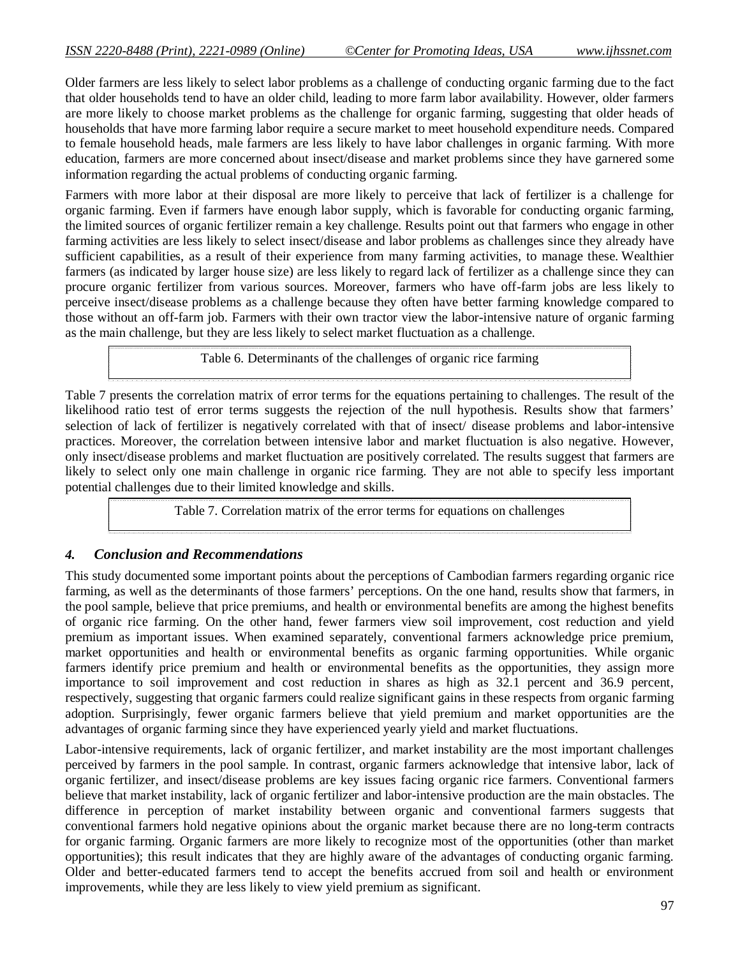Older farmers are less likely to select labor problems as a challenge of conducting organic farming due to the fact that older households tend to have an older child, leading to more farm labor availability. However, older farmers are more likely to choose market problems as the challenge for organic farming, suggesting that older heads of households that have more farming labor require a secure market to meet household expenditure needs. Compared to female household heads, male farmers are less likely to have labor challenges in organic farming. With more education, farmers are more concerned about insect/disease and market problems since they have garnered some information regarding the actual problems of conducting organic farming.

Farmers with more labor at their disposal are more likely to perceive that lack of fertilizer is a challenge for organic farming. Even if farmers have enough labor supply, which is favorable for conducting organic farming, the limited sources of organic fertilizer remain a key challenge. Results point out that farmers who engage in other farming activities are less likely to select insect/disease and labor problems as challenges since they already have sufficient capabilities, as a result of their experience from many farming activities, to manage these. Wealthier farmers (as indicated by larger house size) are less likely to regard lack of fertilizer as a challenge since they can procure organic fertilizer from various sources. Moreover, farmers who have off-farm jobs are less likely to perceive insect/disease problems as a challenge because they often have better farming knowledge compared to those without an off-farm job. Farmers with their own tractor view the labor-intensive nature of organic farming as the main challenge, but they are less likely to select market fluctuation as a challenge.

Table 6. Determinants of the challenges of organic rice farming

Table 7 presents the correlation matrix of error terms for the equations pertaining to challenges. The result of the likelihood ratio test of error terms suggests the rejection of the null hypothesis. Results show that farmers' selection of lack of fertilizer is negatively correlated with that of insect/ disease problems and labor-intensive practices. Moreover, the correlation between intensive labor and market fluctuation is also negative. However, only insect/disease problems and market fluctuation are positively correlated. The results suggest that farmers are likely to select only one main challenge in organic rice farming. They are not able to specify less important potential challenges due to their limited knowledge and skills.

Table 7. Correlation matrix of the error terms for equations on challenges

## *4. Conclusion and Recommendations*

This study documented some important points about the perceptions of Cambodian farmers regarding organic rice farming, as well as the determinants of those farmers' perceptions. On the one hand, results show that farmers, in the pool sample, believe that price premiums, and health or environmental benefits are among the highest benefits of organic rice farming. On the other hand, fewer farmers view soil improvement, cost reduction and yield premium as important issues. When examined separately, conventional farmers acknowledge price premium, market opportunities and health or environmental benefits as organic farming opportunities. While organic farmers identify price premium and health or environmental benefits as the opportunities, they assign more importance to soil improvement and cost reduction in shares as high as 32.1 percent and 36.9 percent, respectively, suggesting that organic farmers could realize significant gains in these respects from organic farming adoption. Surprisingly, fewer organic farmers believe that yield premium and market opportunities are the advantages of organic farming since they have experienced yearly yield and market fluctuations.

Labor-intensive requirements, lack of organic fertilizer, and market instability are the most important challenges perceived by farmers in the pool sample. In contrast, organic farmers acknowledge that intensive labor, lack of organic fertilizer, and insect/disease problems are key issues facing organic rice farmers. Conventional farmers believe that market instability, lack of organic fertilizer and labor-intensive production are the main obstacles. The difference in perception of market instability between organic and conventional farmers suggests that conventional farmers hold negative opinions about the organic market because there are no long-term contracts for organic farming. Organic farmers are more likely to recognize most of the opportunities (other than market opportunities); this result indicates that they are highly aware of the advantages of conducting organic farming. Older and better-educated farmers tend to accept the benefits accrued from soil and health or environment improvements, while they are less likely to view yield premium as significant.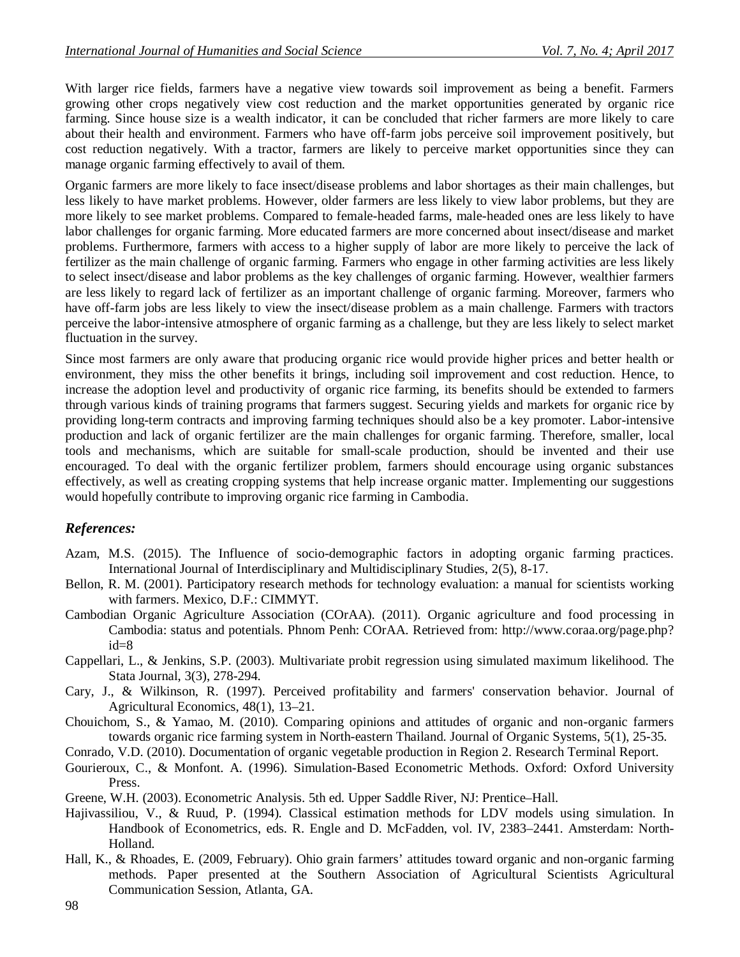With larger rice fields, farmers have a negative view towards soil improvement as being a benefit. Farmers growing other crops negatively view cost reduction and the market opportunities generated by organic rice farming. Since house size is a wealth indicator, it can be concluded that richer farmers are more likely to care about their health and environment. Farmers who have off-farm jobs perceive soil improvement positively, but cost reduction negatively. With a tractor, farmers are likely to perceive market opportunities since they can manage organic farming effectively to avail of them.

Organic farmers are more likely to face insect/disease problems and labor shortages as their main challenges, but less likely to have market problems. However, older farmers are less likely to view labor problems, but they are more likely to see market problems. Compared to female-headed farms, male-headed ones are less likely to have labor challenges for organic farming. More educated farmers are more concerned about insect/disease and market problems. Furthermore, farmers with access to a higher supply of labor are more likely to perceive the lack of fertilizer as the main challenge of organic farming. Farmers who engage in other farming activities are less likely to select insect/disease and labor problems as the key challenges of organic farming. However, wealthier farmers are less likely to regard lack of fertilizer as an important challenge of organic farming. Moreover, farmers who have off-farm jobs are less likely to view the insect/disease problem as a main challenge. Farmers with tractors perceive the labor-intensive atmosphere of organic farming as a challenge, but they are less likely to select market fluctuation in the survey.

Since most farmers are only aware that producing organic rice would provide higher prices and better health or environment, they miss the other benefits it brings, including soil improvement and cost reduction. Hence, to increase the adoption level and productivity of organic rice farming, its benefits should be extended to farmers through various kinds of training programs that farmers suggest. Securing yields and markets for organic rice by providing long-term contracts and improving farming techniques should also be a key promoter. Labor-intensive production and lack of organic fertilizer are the main challenges for organic farming. Therefore, smaller, local tools and mechanisms, which are suitable for small-scale production, should be invented and their use encouraged. To deal with the organic fertilizer problem, farmers should encourage using organic substances effectively, as well as creating cropping systems that help increase organic matter. Implementing our suggestions would hopefully contribute to improving organic rice farming in Cambodia.

## *References:*

- Azam, M.S. (2015). The Influence of socio-demographic factors in adopting organic farming practices. International Journal of Interdisciplinary and Multidisciplinary Studies, 2(5), 8-17.
- Bellon, R. M. (2001). Participatory research methods for technology evaluation: a manual for scientists working with farmers. Mexico, D.F.: CIMMYT.
- Cambodian Organic Agriculture Association (COrAA). (2011). Organic agriculture and food processing in Cambodia: status and potentials. Phnom Penh: COrAA. Retrieved from: http://www.coraa.org/page.php? id=8
- Cappellari, L., & Jenkins, S.P. (2003). Multivariate probit regression using simulated maximum likelihood. The Stata Journal, 3(3), 278-294.
- Cary, J., & Wilkinson, R. (1997). Perceived profitability and farmers' conservation behavior. Journal of Agricultural Economics, 48(1), 13–21.
- Chouichom, S., & Yamao, M. (2010). Comparing opinions and attitudes of organic and non-organic farmers towards organic rice farming system in North-eastern Thailand. Journal of Organic Systems, 5(1), 25-35.
- Conrado, V.D. (2010). Documentation of organic vegetable production in Region 2. Research Terminal Report.
- Gourieroux, C., & Monfont. A. (1996). Simulation-Based Econometric Methods. Oxford: Oxford University Press.
- Greene, W.H. (2003). Econometric Analysis. 5th ed. Upper Saddle River, NJ: Prentice–Hall.
- Hajivassiliou, V., & Ruud, P. (1994). Classical estimation methods for LDV models using simulation. In Handbook of Econometrics, eds. R. Engle and D. McFadden, vol. IV, 2383–2441. Amsterdam: North-Holland.
- Hall, K., & Rhoades, E. (2009, February). Ohio grain farmers' attitudes toward organic and non-organic farming methods. Paper presented at the Southern Association of Agricultural Scientists Agricultural Communication Session, Atlanta, GA.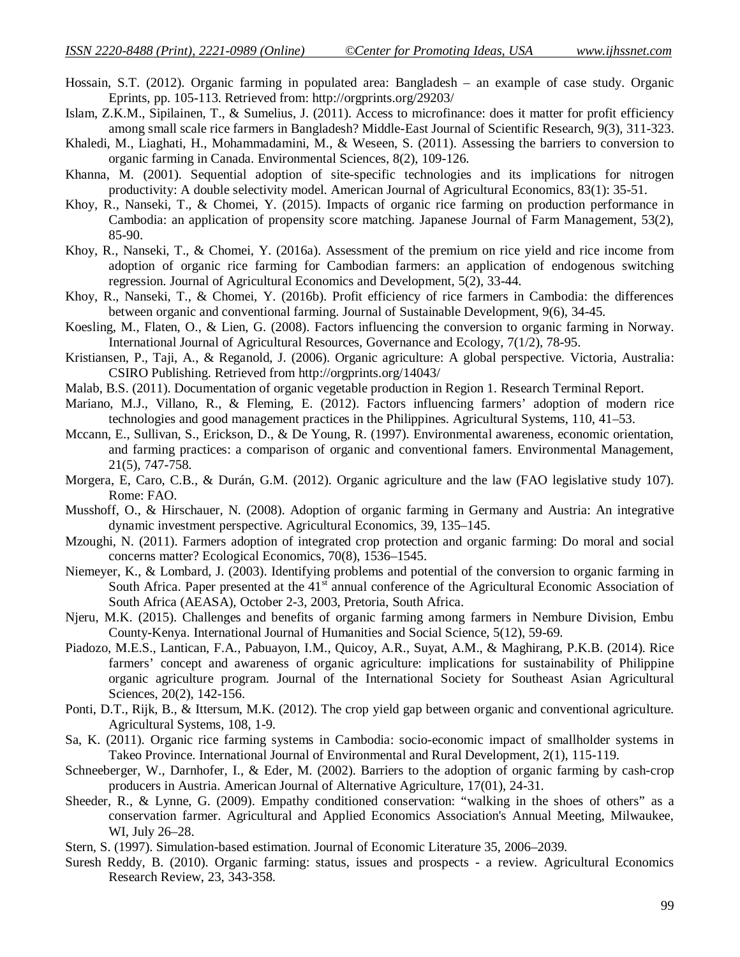- Hossain, S.T. (2012). Organic farming in populated area: Bangladesh an example of case study. Organic Eprints, pp. 105-113. Retrieved from: http://orgprints.org/29203/
- Islam, Z.K.M., Sipilainen, T., & Sumelius, J. (2011). Access to microfinance: does it matter for profit efficiency among small scale rice farmers in Bangladesh? Middle-East Journal of Scientific Research, 9(3), 311-323.
- Khaledi, M., Liaghati, H., Mohammadamini, M., & Weseen, S. (2011). Assessing the barriers to conversion to organic farming in Canada. Environmental Sciences, 8(2), 109-126.
- Khanna, M. (2001). Sequential adoption of site-specific technologies and its implications for nitrogen productivity: A double selectivity model. American Journal of Agricultural Economics, 83(1): 35-51.
- Khoy, R., Nanseki, T., & Chomei, Y. (2015). Impacts of organic rice farming on production performance in Cambodia: an application of propensity score matching. Japanese Journal of Farm Management, 53(2), 85-90.
- Khoy, R., Nanseki, T., & Chomei, Y. (2016a). Assessment of the premium on rice yield and rice income from adoption of organic rice farming for Cambodian farmers: an application of endogenous switching regression. Journal of Agricultural Economics and Development, 5(2), 33-44.
- Khoy, R., Nanseki, T., & Chomei, Y. (2016b). Profit efficiency of rice farmers in Cambodia: the differences between organic and conventional farming. Journal of Sustainable Development, 9(6), 34-45.
- Koesling, M., Flaten, O., & Lien, G. (2008). Factors influencing the conversion to organic farming in Norway. International Journal of Agricultural Resources, Governance and Ecology, 7(1/2), 78-95.
- Kristiansen, P., Taji, A., & Reganold, J. (2006). Organic agriculture: A global perspective. Victoria, Australia: CSIRO Publishing. Retrieved from http://orgprints.org/14043/
- Malab, B.S. (2011). Documentation of organic vegetable production in Region 1. Research Terminal Report.
- Mariano, M.J., Villano, R., & Fleming, E. (2012). Factors influencing farmers' adoption of modern rice technologies and good management practices in the Philippines. Agricultural Systems, 110, 41–53.
- Mccann, E., Sullivan, S., Erickson, D., & De Young, R. (1997). Environmental awareness, economic orientation, and farming practices: a comparison of organic and conventional famers. Environmental Management, 21(5), 747-758.
- Morgera, E, Caro, C.B., & Durán, G.M. (2012). Organic agriculture and the law (FAO legislative study 107). Rome: FAO.
- Musshoff, O., & Hirschauer, N. (2008). Adoption of organic farming in Germany and Austria: An integrative dynamic investment perspective. Agricultural Economics, 39, 135–145.
- Mzoughi, N. (2011). Farmers adoption of integrated crop protection and organic farming: Do moral and social concerns matter? Ecological Economics, 70(8), 1536–1545.
- Niemeyer, K., & Lombard, J. (2003). Identifying problems and potential of the conversion to organic farming in South Africa. Paper presented at the 41<sup>st</sup> annual conference of the Agricultural Economic Association of South Africa (AEASA), October 2-3, 2003, Pretoria, South Africa.
- Njeru, M.K. (2015). Challenges and benefits of organic farming among farmers in Nembure Division, Embu County-Kenya. International Journal of Humanities and Social Science, 5(12), 59-69.
- Piadozo, M.E.S., Lantican, F.A., Pabuayon, I.M., Quicoy, A.R., Suyat, A.M., & Maghirang, P.K.B. (2014). Rice farmers' concept and awareness of organic agriculture: implications for sustainability of Philippine organic agriculture program. Journal of the International Society for Southeast Asian Agricultural Sciences, 20(2), 142-156.
- Ponti, D.T., Rijk, B., & Ittersum, M.K. (2012). The crop yield gap between organic and conventional agriculture. Agricultural Systems, 108, 1-9.
- Sa, K. (2011). Organic rice farming systems in Cambodia: socio-economic impact of smallholder systems in Takeo Province. International Journal of Environmental and Rural Development, 2(1), 115-119.
- Schneeberger, W., Darnhofer, I., & Eder, M. (2002). Barriers to the adoption of organic farming by cash-crop producers in Austria. American Journal of Alternative Agriculture, 17(01), 24-31.
- Sheeder, R., & Lynne, G. (2009). Empathy conditioned conservation: "walking in the shoes of others" as a conservation farmer. Agricultural and Applied Economics Association's Annual Meeting, Milwaukee, WI, July 26–28.
- Stern, S. (1997). Simulation-based estimation. Journal of Economic Literature 35, 2006–2039.
- Suresh Reddy, B. (2010). Organic farming: status, issues and prospects a review. Agricultural Economics Research Review, 23, 343-358.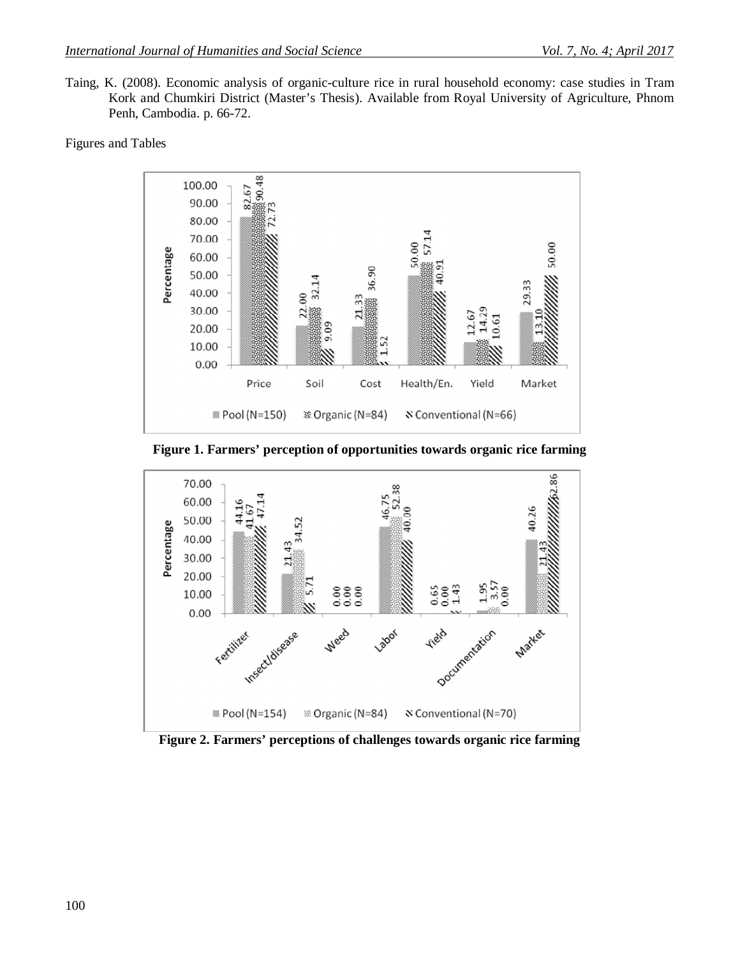Taing, K. (2008). Economic analysis of organic-culture rice in rural household economy: case studies in Tram Kork and Chumkiri District (Master's Thesis). Available from Royal University of Agriculture, Phnom Penh, Cambodia. p. 66-72.

Figures and Tables



**Figure 1. Farmers' perception of opportunities towards organic rice farming**



**Figure 2. Farmers' perceptions of challenges towards organic rice farming**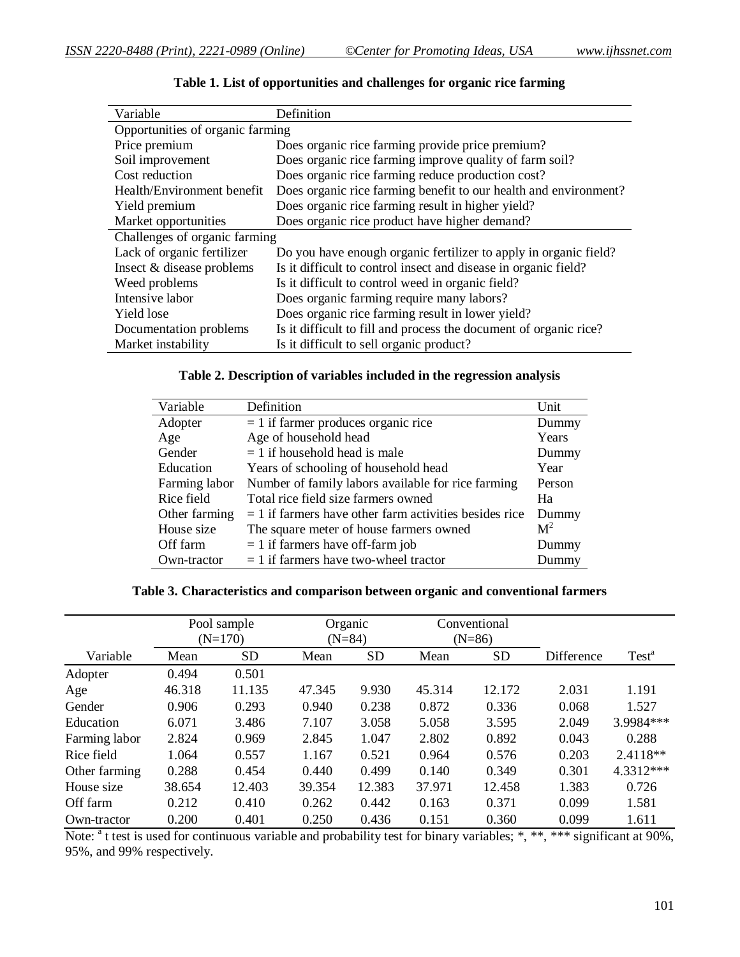| Variable                         | Definition                                                        |
|----------------------------------|-------------------------------------------------------------------|
| Opportunities of organic farming |                                                                   |
| Price premium                    | Does organic rice farming provide price premium?                  |
| Soil improvement                 | Does organic rice farming improve quality of farm soil?           |
| Cost reduction                   | Does organic rice farming reduce production cost?                 |
| Health/Environment benefit       | Does organic rice farming benefit to our health and environment?  |
| Yield premium                    | Does organic rice farming result in higher yield?                 |
| Market opportunities             | Does organic rice product have higher demand?                     |
| Challenges of organic farming    |                                                                   |
| Lack of organic fertilizer       | Do you have enough organic fertilizer to apply in organic field?  |
| Insect & disease problems        | Is it difficult to control insect and disease in organic field?   |
| Weed problems                    | Is it difficult to control weed in organic field?                 |
| Intensive labor                  | Does organic farming require many labors?                         |
| Yield lose                       | Does organic rice farming result in lower yield?                  |
| Documentation problems           | Is it difficult to fill and process the document of organic rice? |
| Market instability               | Is it difficult to sell organic product?                          |

# **Table 1. List of opportunities and challenges for organic rice farming**

#### **Table 2. Description of variables included in the regression analysis**

| Variable      | Definition                                               | Unit           |
|---------------|----------------------------------------------------------|----------------|
| Adopter       | $= 1$ if farmer produces organic rice                    | Dummy          |
| Age           | Age of household head                                    | Years          |
| Gender        | $= 1$ if household head is male                          | Dummy          |
| Education     | Years of schooling of household head                     | Year           |
| Farming labor | Number of family labors available for rice farming       | Person         |
| Rice field    | Total rice field size farmers owned                      | Ha             |
| Other farming | $= 1$ if farmers have other farm activities besides rice | Dummy          |
| House size    | The square meter of house farmers owned                  | $\mathbf{M}^2$ |
| Off farm      | $= 1$ if farmers have off-farm job                       | Dummy          |
| Own-tractor   | $= 1$ if farmers have two-wheel tractor                  | Dummy          |

#### **Table 3. Characteristics and comparison between organic and conventional farmers**

|               |        | Pool sample<br>$(N=170)$ |        | Organic<br>$(N=84)$ |        | Conventional<br>$(N=86)$ |            |                   |
|---------------|--------|--------------------------|--------|---------------------|--------|--------------------------|------------|-------------------|
| Variable      | Mean   | <b>SD</b>                | Mean   | <b>SD</b>           | Mean   | <b>SD</b>                | Difference | Test <sup>a</sup> |
| Adopter       | 0.494  | 0.501                    |        |                     |        |                          |            |                   |
| Age           | 46.318 | 11.135                   | 47.345 | 9.930               | 45.314 | 12.172                   | 2.031      | 1.191             |
| Gender        | 0.906  | 0.293                    | 0.940  | 0.238               | 0.872  | 0.336                    | 0.068      | 1.527             |
| Education     | 6.071  | 3.486                    | 7.107  | 3.058               | 5.058  | 3.595                    | 2.049      | 3.9984***         |
| Farming labor | 2.824  | 0.969                    | 2.845  | 1.047               | 2.802  | 0.892                    | 0.043      | 0.288             |
| Rice field    | 1.064  | 0.557                    | 1.167  | 0.521               | 0.964  | 0.576                    | 0.203      | $2.4118**$        |
| Other farming | 0.288  | 0.454                    | 0.440  | 0.499               | 0.140  | 0.349                    | 0.301      | 4.3312***         |
| House size    | 38.654 | 12.403                   | 39.354 | 12.383              | 37.971 | 12.458                   | 1.383      | 0.726             |
| Off farm      | 0.212  | 0.410                    | 0.262  | 0.442               | 0.163  | 0.371                    | 0.099      | 1.581             |
| Own-tractor   | 0.200  | 0.401                    | 0.250  | 0.436               | 0.151  | 0.360                    | 0.099      | 1.611             |

Note: <sup>a</sup>t test is used for continuous variable and probability test for binary variables; \*, \*\*, \*\*\* significant at 90%, 95%, and 99% respectively.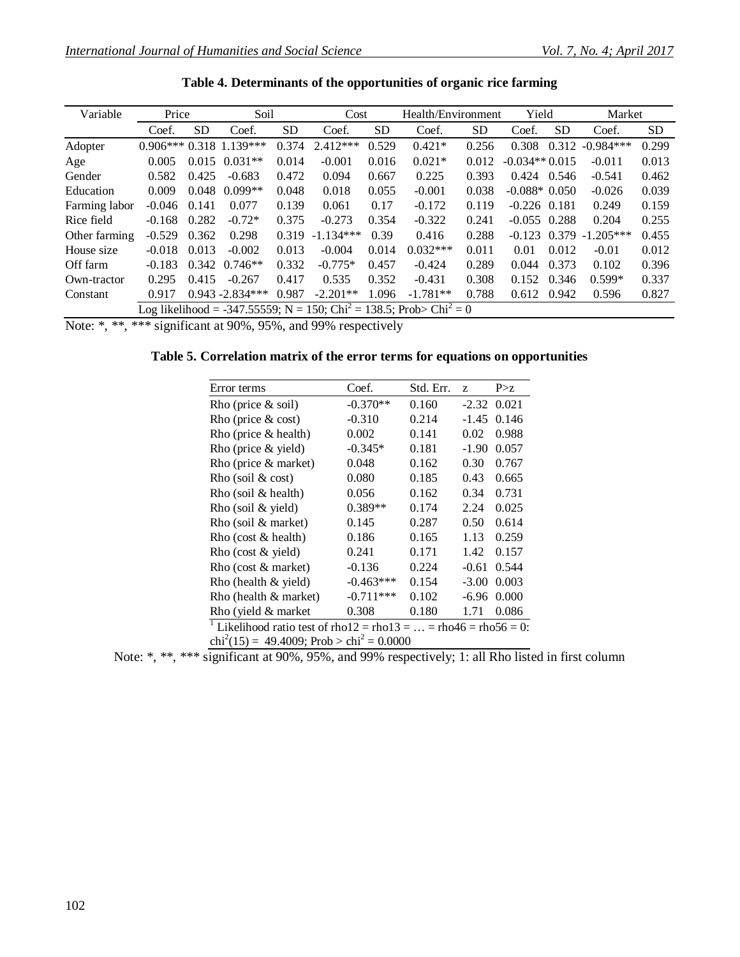| Variable                                                                                   | Price      |           | Soil               |           | Cost        |           | Health/Environment |           | Yield            |           | Market      |           |
|--------------------------------------------------------------------------------------------|------------|-----------|--------------------|-----------|-------------|-----------|--------------------|-----------|------------------|-----------|-------------|-----------|
|                                                                                            | Coef.      | <b>SD</b> | Coef.              | <b>SD</b> | Coef.       | <b>SD</b> | Coef.              | <b>SD</b> | Coef.            | <b>SD</b> | Coef.       | <b>SD</b> |
| Adopter                                                                                    | $0.906***$ |           | $0.318$ 1.139***   | 0.374     | $2.412***$  | 0.529     | $0.421*$           | 0.256     | 0.308            | 0.312     | $-0.984***$ | 0.299     |
| Age                                                                                        | 0.005      | 0.015     | $0.031**$          | 0.014     | $-0.001$    | 0.016     | $0.021*$           | 0.012     | $-0.034**0.015$  |           | $-0.011$    | 0.013     |
| Gender                                                                                     | 0.582      | 0.425     | $-0.683$           | 0.472     | 0.094       | 0.667     | 0.225              | 0.393     | 0.424            | 0.546     | $-0.541$    | 0.462     |
| Education                                                                                  | 0.009      | 0.048     | $0.099**$          | 0.048     | 0.018       | 0.055     | $-0.001$           | 0.038     | $-0.088*0.050$   |           | $-0.026$    | 0.039     |
| Farming labor                                                                              | $-0.046$   | 0.141     | 0.077              | 0.139     | 0.061       | 0.17      | $-0.172$           | 0.119     | $-0.226$ $0.181$ |           | 0.249       | 0.159     |
| Rice field                                                                                 | $-0.168$   | 0.282     | $-0.72*$           | 0.375     | $-0.273$    | 0.354     | $-0.322$           | 0.241     | $-0.055$ 0.288   |           | 0.204       | 0.255     |
| Other farming                                                                              | $-0.529$   | 0.362     | 0.298              | 0.319     | $-1.134***$ | 0.39      | 0.416              | 0.288     | $-0.123$         | 0.379     | $-1.205***$ | 0.455     |
| House size                                                                                 | $-0.018$   | 0.013     | $-0.002$           | 0.013     | $-0.004$    | 0.014     | $0.032***$         | 0.011     | 0.01             | 0.012     | $-0.01$     | 0.012     |
| Off farm                                                                                   | $-0.183$   | 0.342     | $0.746**$          | 0.332     | $-0.775*$   | 0.457     | $-0.424$           | 0.289     | 0.044            | 0.373     | 0.102       | 0.396     |
| Own-tractor                                                                                | 0.295      | 0.415     | $-0.267$           | 0.417     | 0.535       | 0.352     | $-0.431$           | 0.308     | 0.152            | 0.346     | $0.599*$    | 0.337     |
| Constant                                                                                   | 0.917      |           | $0.943 - 2.834***$ | 0.987     | $-2.201**$  | 1.096     | $-1.781**$         | 0.788     | 0.612            | 0.942     | 0.596       | 0.827     |
| Log likelihood = -347.55559; N = 150; Chi <sup>2</sup> = 138.5; Prob> Chi <sup>2</sup> = 0 |            |           |                    |           |             |           |                    |           |                  |           |             |           |

**Table 4. Determinants of the opportunities of organic rice farming**

Note: \*, \*\*, \*\*\* significant at 90%, 95%, and 99% respectively

# **Table 5. Correlation matrix of the error terms for equations on opportunities**

| Error terms                                                                                          | Coef.       | Std. Err. | Z       | P > z |  |  |  |  |
|------------------------------------------------------------------------------------------------------|-------------|-----------|---------|-------|--|--|--|--|
| Rho (price $\&$ soil)                                                                                | $-0.370**$  | 0.160     | $-2.32$ | 0.021 |  |  |  |  |
| Rho (price $\&$ cost)                                                                                | $-0.310$    | 0.214     | $-1.45$ | 0.146 |  |  |  |  |
| Rho (price $&$ health)                                                                               | 0.002       | 0.141     | 0.02    | 0.988 |  |  |  |  |
| Rho (price & yield)                                                                                  | $-0.345*$   | 0.181     | $-1.90$ | 0.057 |  |  |  |  |
| Rho (price & market)                                                                                 | 0.048       | 0.162     | 0.30    | 0.767 |  |  |  |  |
| Rho (soil $&cost$ )                                                                                  | 0.080       | 0.185     | 0.43    | 0.665 |  |  |  |  |
| Rho (soil $&$ health)                                                                                | 0.056       | 0.162     | 0.34    | 0.731 |  |  |  |  |
| Rho (soil & yield)                                                                                   | 0.389**     | 0.174     | 2.24    | 0.025 |  |  |  |  |
| Rho (soil $&$ market)                                                                                | 0.145       | 0.287     | 0.50    | 0.614 |  |  |  |  |
| Rho (cost $&$ health)                                                                                | 0.186       | 0.165     | 1.13    | 0.259 |  |  |  |  |
| Rho (cost & yield)                                                                                   | 0.241       | 0.171     | 1.42    | 0.157 |  |  |  |  |
| Rho (cost $\&$ market)                                                                               | $-0.136$    | 0.224     | $-0.61$ | 0.544 |  |  |  |  |
| Rho (health $&$ yield)                                                                               | $-0.463***$ | 0.154     | $-3.00$ | 0.003 |  |  |  |  |
| Rho (health $\&$ market)                                                                             | $-0.711***$ | 0.102     | $-6.96$ | 0.000 |  |  |  |  |
| Rho (yield & market                                                                                  | 0.308       | 0.180     | 1.71    | 0.086 |  |  |  |  |
| <sup>1</sup> Likelihood ratio test of rho $12 = \text{rho}13 =  = \text{rho}46 = \text{rho}56 = 0$ : |             |           |         |       |  |  |  |  |
| $chi^2(15) = 49.4009$ ; Prob > $chi^2 = 0.0000$                                                      |             |           |         |       |  |  |  |  |

Note: \*, \*\*, \*\*\* significant at 90%, 95%, and 99% respectively; 1: all Rho listed in first column